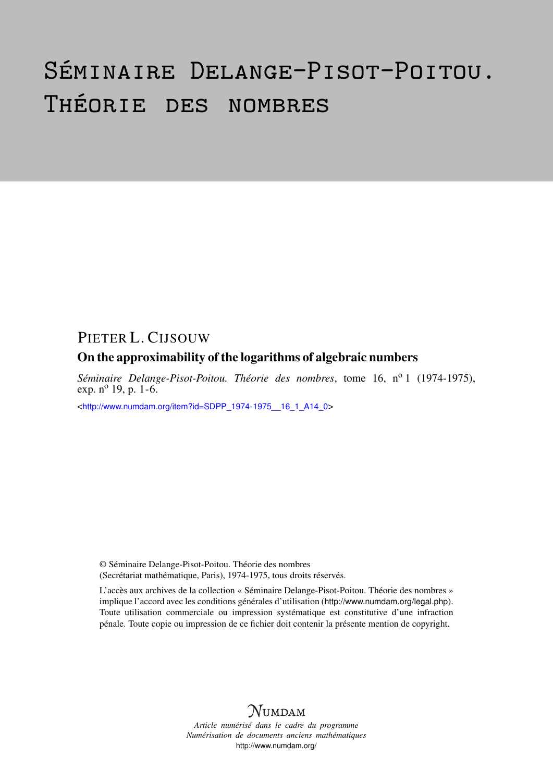# Séminaire Delange-Pisot-Poitou. Théorie des nombres

## PIETER L. CIJSOUW

### On the approximability of the logarithms of algebraic numbers

*Séminaire Delange-Pisot-Poitou. Théorie des nombres*, tome 16, nº 1 (1974-1975), exp.  $n^{o}$  19, p. 1-6.

<[http://www.numdam.org/item?id=SDPP\\_1974-1975\\_\\_16\\_1\\_A14\\_0](http://www.numdam.org/item?id=SDPP_1974-1975__16_1_A14_0)>

© Séminaire Delange-Pisot-Poitou. Théorie des nombres (Secrétariat mathématique, Paris), 1974-1975, tous droits réservés.

L'accès aux archives de la collection « Séminaire Delange-Pisot-Poitou. Théorie des nombres » implique l'accord avec les conditions générales d'utilisation (<http://www.numdam.org/legal.php>). Toute utilisation commerciale ou impression systématique est constitutive d'une infraction pénale. Toute copie ou impression de ce fichier doit contenir la présente mention de copyright.



*Article numérisé dans le cadre du programme Numérisation de documents anciens mathématiques* <http://www.numdam.org/>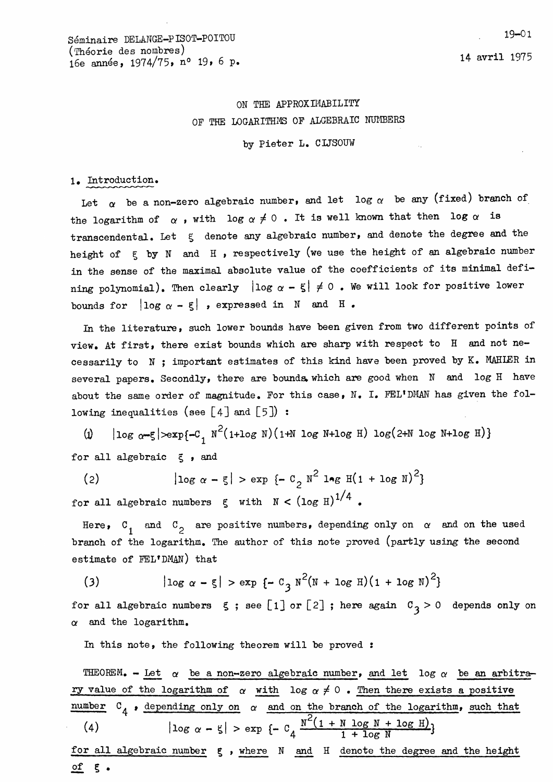## ON THE APPROXIMABILITY OF THE LOGARITHMS OF ALGEBRAIC NUMBERS

by Pieter L. CIJSOUW

#### 1. Introduction.

Let  $\alpha$  be a non-zero algebraic number, and let log  $\alpha$  be any (fixed) branch of the logarithm of  $\alpha$ , with log  $\alpha \neq 0$ . It is well known that then log  $\alpha$  is transcendental. Let  $\zeta$  denote any algebraic number, and denote the degree and the height of  $\xi$  by N and H , respectively (we use the height of an algebraic number in the sense of the maximal absolute value of the coefficients of its minimal defining polynomial). Then clearly  $\vert \log \alpha - \xi \vert \neq 0$  . We will look for positive lower bounds for  $\vert \log \alpha - \xi \vert$  , expressed in N and H.

In the literature, such lower bounds have been given from two different points of view. At first, there exist bounds which are sharp with respect to H and not necessarily to N ; important estimates of this kind have been proved by K. MAHLER in several papers. Secondly, there are bounds which are good when N and log H have about the same order of magnitude. For this case, N. I. FEL'DMAN has given the following inequalities (see  $\lceil 4 \rceil$  and  $\lceil 5 \rceil$ ) :

(i)  $|\log \alpha - \xi| > \exp\{-C_1 N^2(1+\log N)(1+N \log N+\log H) \log(2+N \log N+\log H)\}$ for all algebraic  $\xi$ , and

 $|\log \alpha - \xi| > \exp \{-C_2 N^2 \log H(1 + \log N)^2\}$  $(2)$ for all algebraic numbers  $\xi$  with  $N < (log H)^{1/4}$ .

Here,  $C_1$  and  $C_2$  are positive numbers, depending only on  $\alpha$  and on the used branch of the logarithm. The author of this note proved (partly using the second estimate of FEL'DMAN) that

(3) 
$$
|\log \alpha - \xi| > \exp \{-C_3 N^2 (N + \log H) (1 + \log N)^2 \}
$$

for all algebraic numbers  $\leq$ ; see [1] or [2]; here again  $C_3 > 0$  depends only on  $\alpha$  and the logarithm.

In this note, the following theorem will be proved :

THEOREM. - Let  $\alpha$  be a non-zero algebraic number, and let log  $\alpha$  be an arbitrary value of the logarithm of  $\alpha$  with log  $\alpha \neq 0$ . Then there exists a positive number  $C_4$ , depending only on  $\alpha$  and on the branch of the logarithm, such that<br>
(4)  $|\log \alpha - \xi| > \exp \{-C_4 \frac{N^2(1 + N \log N + \log H)}{1 + \log N}\}$ (4) for all algebraic number  $\epsilon$ , where  $N$  and  $H$  denote the degree and the height of  $\xi$ .

19-01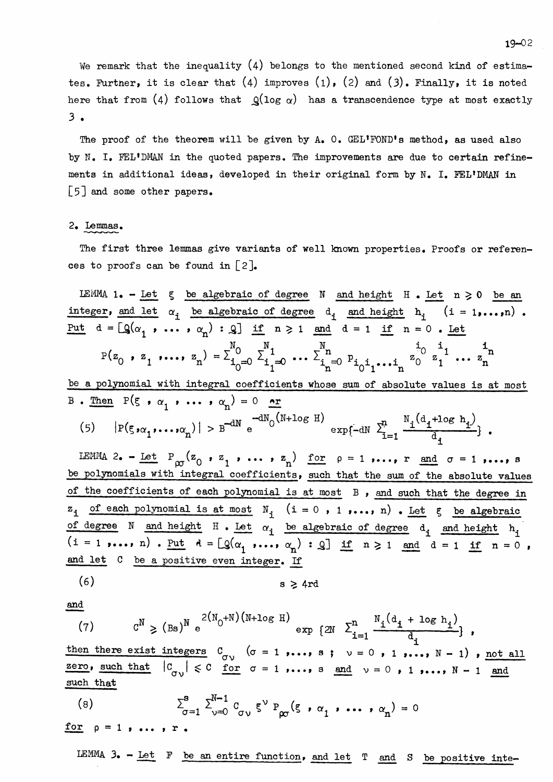We remark that the inequality  $(4)$  belongs to the mentioned second kind of estimates. Further, it is clear that (4) improves (1), (2) and (3). Finally, it is noted here that from (4) follows that  $Q(\log \alpha)$  has a transcendence type at most exactly 3 .

The proof of the theorem will be given by A. O. GEL'FOND's method, as used also by N. I. FEL'DMAN in the quoted papers. The improvements are due to certain refinements in additional ideas, developed in their original form by  $N$ . I. FEL'DMAN in  $\lceil 5 \rceil$  and some other papers.

#### 2. Lemmas.

The first three lemmas give variants of well known properties. Proofs or references to proofs can be found in  $[2]$ .

LEMMA 1. - Let  $\xi$  be algebraic of degree N and height H. Let  $n \geq 0$  be an integer, and let  $\alpha_i$  be algebraic of degree  $d_i$  and height  $h_i$  (i = 1,...,n). Put  $d = [Q(\alpha_1 \dots \alpha_n) : Q]$  if  $n \ge 1$  and  $d = 1$  if  $n = 0$ . Let  $P(z_0, z_1, \ldots, z_n) = \sum_{i_0=0}^{N_0} \sum_{i_1=0}^{N_1} \ldots \sum_{i_n=0}^{N_n} p_{i_0 i_1 \ldots i_n} z_0^{i_0} z_1^{i_1} \ldots z_n^{i_n}$ be a polynomial with integral coefficients whose sum of absolute values is at most B. Then  $P(\xi, \alpha_1, \ldots, \alpha_n) = 0$  or<br>
(5)  $|P(\xi, \alpha_1, \ldots, \alpha_n)| > B^{-dN} e^{-dN_0(N + \log H)} \exp\{-dN \sum_{i=1}^n \frac{N_i(d_i + \log h_i)}{d_i}\}.$ 

IEMMA 2. - <u>Let</u>  $P_{\infty}(z_0, z_1, \ldots, z_n)$  <u>for</u>  $p = 1, ..., r$  and  $\sigma = 1, ..., s$ be polynomials with integral coefficients, such that the sum of the absolute values of the coefficients of each polynomial is at most B , and such that the degree in  $z_i$  of each polynomial is at most  $N_i$  (i = 0, 1,..., n). Let  $\xi$  be algebraic of degree N and height  $H \cdot Let \alpha_i$  be algebraic of degree  $d_i$  and height  $h_i$  $(i = 1 \text{ ...}, n)$  . Put  $d = [Q(\alpha_1 \text{ ...}, \alpha_n): Q]$  if  $n \ge 1$  and  $d = 1$  if  $n = 0$  , and let C be a positive even integer. If

$$
(6) \t\t s \geq 4rd
$$

then there exist integers  $C_{\sigma\vee}$   $(\sigma = 1 \dots, s ; \nu = 0 \dots, N - 1)$ , not all then then  $(7)$   $C^N \geq (Bs)^N e^{\frac{1}{2}}$ <br>then there exist integers<br>zero, such that  $|C_{\sigma}|\leq$ <br>such that such that  $|C_{\sigma \nu}| \leq C$  for  $\sigma = 1$  ,..., s and  $\nu = 0$  , 1 ,...,  $N - 1$  and such that

(8) 
$$
\sum_{\sigma=1}^{8} \sum_{\nu=0}^{N-1} C_{\sigma\nu} \xi^{\nu} P_{\rho\sigma} (\xi \cdot \alpha_1 \cdot \cdots \cdot \alpha_n) = 0
$$

for  $p = 1$ , ...,  $r$ .

LEMMA  $3. - Let$  F be an entire function, and let  $T$  and S be positive inte-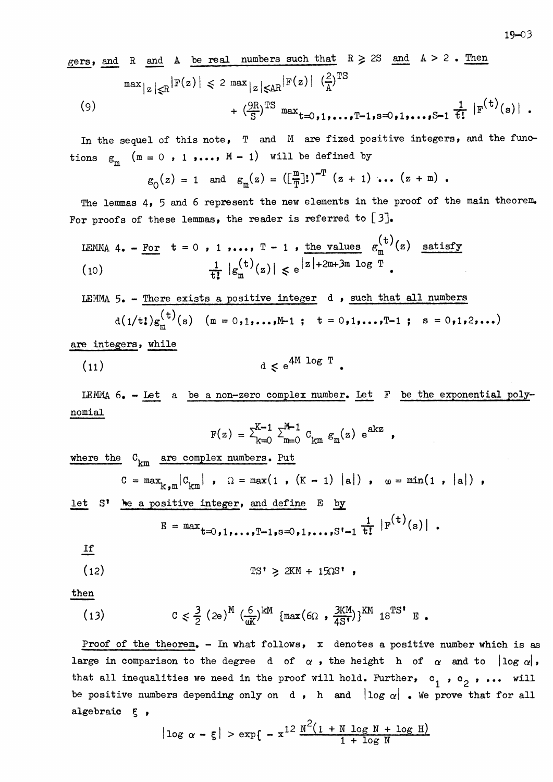$$
\frac{\text{gers}}{\max} \text{ and } R \text{ and } A \text{ be real numbers such that } R \geq 2S \text{ and } A > 2. \text{ Then}
$$
\n
$$
\max_{|z| \leq R} |F(z)| \leq 2 \max_{|z| \leq AR} |F(z)| \left(\frac{2}{A}\right)^{TS}
$$
\n
$$
+ \left(\frac{9R}{S}\right)^{TS} \max_{t=0,1,\ldots,T-1, s=0,1,\ldots,S-1} \frac{1}{t!} |F^{(t)}(s)|.
$$

In the sequel of this note,  $T$  and  $M$  are fixed positive integers, and the functions  $g_m$  ( $m = 0$ , 1,...,  $M - 1$ ) will be defined by

$$
\varepsilon_0(z) = 1
$$
 and  $\varepsilon_m(z) = (\left[\frac{m}{T}\right])^{-T} (z + 1) \dots (z + m)$ .

The lemmas 4, 5 and 6 represent the new elements in the proof of the main theorem. For proofs of these lemmas, the reader is referred to  $[3]$ .

LEMMA 4. - For 
$$
t = 0
$$
, 1, ...,  $T - 1$ , the values  $g_m^{(t)}(z)$  satisfy  
\n(10) 
$$
\frac{1}{t!} |g_m^{(t)}(z)| \leq e^{|z| + 2m + 3m \log T}.
$$

LEMMA  $5.$  - There exists a positive integer d, such that all numbers  $d(1/t!)g_{m}^{(t)}(s)$   $(m = 0,1,...,M-1; t = 0,1,...,T-1; s = 0,1,2,...)$ 

are integers, while

$$
(11) \t\t d \le e^{4M \log T}.
$$

LEMMA 6. - Let a be a non-zero complex number. Let F be the exponential polynomial

$$
F(z) = \sum_{k=0}^{K-1} \sum_{m=0}^{M-1} c_{km} g_m(z) e^{akz} ,
$$

where the  $C_{km}$  are complex numbers. Put

$$
C = max_{k,m} |C_{km}|
$$
,  $\Omega = max(1, (K - 1) |a|)$ ,  $\omega = min(1, |a|)$ ,

let S' be a positive integer, and define E by

$$
E = max_{t=0,1,...,T-1,s=0,1,...,S'-1} \frac{1}{t!} |F^{(t)}(s)|.
$$

 $I$ f

$$
\text{TS}^{\dagger} \geqslant 2KM + 15\Omega S^{\dagger} ,
$$

then

(13) 
$$
C \leq \frac{3}{2} (2e)^{M} \left(\frac{6}{4K}\right)^{kM} \left\{ \max(6\Omega, \frac{3KM}{4S^{1}}) \right\}^{KM} 18^{TS^{1}} E.
$$

Proof of the theorem. - In what follows, x denotes a positive number which is as large in comparison to the degree d of  $\alpha$ , the height h of  $\alpha$  and to  $|\log \alpha|$ , that all inequalities we need in the proof will hold. Further,  $c_1$ ,  $c_2$ , ... will be positive numbers depending only on d, h and  $|\log \alpha|$ . We prove that for all algebraic § ,

$$
|\log \alpha - \xi| > \exp\{-x^{12} \frac{N^2(1 + N \log N + \log H)}{1 + \log N}\}
$$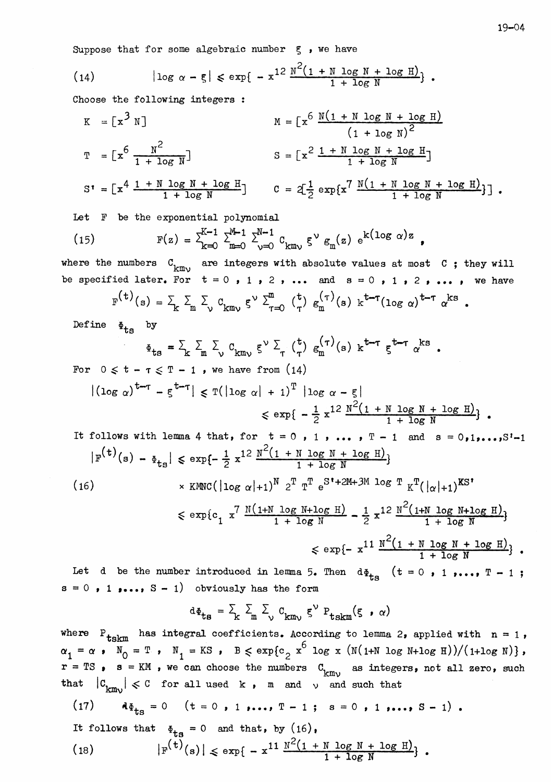Suppose that for some algebraic number  $\xi$ , we have

(14) 
$$
|\log \alpha - \xi| \le \exp\{-x^{12} \frac{N^2(1 + N \log N + \log H)}{1 + \log N}\}.
$$

Choose the following integers :

$$
K = \left[x^3 N\right]
$$
\n
$$
M = \left[x^6 \frac{N(1 + N \log N + \log H)}{(1 + \log N)^2}\right]
$$
\n
$$
T = \left[x^6 \frac{N^2}{1 + \log N}\right]
$$
\n
$$
S = \left[x^2 \frac{1 + N \log N + \log H}{1 + \log N}\right]
$$
\n
$$
S = \left[x^2 \frac{1 + N \log N + \log H}{1 + \log N}\right]
$$
\n
$$
C = 2\left[\frac{1}{2} \exp\left\{x^7 \frac{N(1 + N \log N + \log H)}{1 + \log N}\right\}\right].
$$

Let F be the exponential polynomial

(15) 
$$
F(z) = \sum_{k=0}^{K-1} \sum_{m=0}^{M-1} \sum_{\nu=0}^{N-1} C_{km\nu} \xi^{\nu} g_m(z) e^{k(\log \alpha)z},
$$

where the numbers  $C_{kmv}$  are integers with absolute values at most  $C$ ; they will be specified later. For  $t = 0$ , 1, 2, ... and  $s = 0$ , 1, 2, ..., we have

$$
F^{(t)}(s) = \sum_{k} \sum_{m} \sum_{\nu} c_{km\nu} \xi^{\nu} \sum_{\tau=0}^{m} {t \choose \tau} g_m^{(\tau)}(s) k^{t-\tau} (\log \alpha)^{t-\tau} \alpha^{ks}.
$$

Define  $\Phi_{\text{ts}}$  by

$$
\Phi_{\text{ts}} = \sum_{\mathbf{k}} \sum_{\mathbf{m}} \sum_{\mathbf{v}} c_{\mathbf{k} \mathbf{m} \mathbf{v}} \xi^{\mathbf{v}} \sum_{\mathbf{r}} {(\mathbf{t}) \choose \mathbf{r}} g_{\mathbf{m}}^{(\mathbf{r})}(\mathbf{s}) \mathbf{k}^{\mathbf{t}-\mathbf{r}} \xi^{\mathbf{t}-\mathbf{r}} \alpha^{\mathbf{k} \mathbf{s}}.
$$

For  $0 \leq t - \tau \leq T - 1$ , we have from  $(14)$ 

$$
|( \log \alpha)^{t-\tau} - \xi^{t-\tau} | \leq T(| \log \alpha| + 1)^T | \log \alpha - \xi |
$$
  

$$
\leq \exp\{-\frac{1}{2}x^{12} \frac{N^2(1 + N \log N + \log H)}{1 + \log N}\}.
$$

It follows with lemma 4 that, for 
$$
t = 0
$$
, 1, ...,  $T - 1$  and  $s = 0, 1, ..., S'-1$   
\n
$$
|F^{(t)}(s) - \Phi_{ts}| \le \exp\{-\frac{1}{2} x^{12} \frac{N^2 (1 + N \log N + \log H)}{1 + \log N}\}\
$$
\n(16)  $\times$  KMC( $|\log \alpha|+1$ )<sup>N</sup>  $2^T T^T e^{S't + 2M + 3M \log T} K^T(|\alpha|+1)$ <sup>KS'</sup>  
\n $\le \exp\{c_1 x^7 \frac{N(1+N \log N + \log H)}{1 + \log N} - \frac{1}{2} x^{12} \frac{N^2 (1+N \log N + \log H)}{1 + \log N}\}$ 

$$
\leq \exp\{-x^{11} \frac{N^2(1 + N \log N + \log H)}{1 + \log N} \}.
$$

Let d be the number introduced in lemma 5. Then  $d\Phi_{\text{ts}}$  (t = 0, 1,..., T - 1;  $s = 0$ , 1,...,  $S - 1$  obviously has the form

$$
d\Phi_{\mathbf{ts}} = \sum_{k} \sum_{m} \sum_{\nu} c_{km\nu} \xi^{\nu} P_{\mathbf{tskm}}(\xi \cdot \alpha)
$$

where  $P_{\text{tskm}}$  has integral coefficients. According to lemma 2, applied with  $n = 1$ ,  $\alpha_1 = \alpha$ ,  $N_0 = T$ ,  $N_1 = KS$ ,  $B \le \exp\{c_2 x^6 \log x (N(1+N \log N + \log H))/(1+\log N)\}$ ,  $r = TS$ ,  $s = KM$ , we can choose the numbers  $C_{km\nu}$  as integers, not all zero, such that  $|C_{km}|\leq C$  for all used k, m and  $\vee$  and such that

(17) 
$$
A\Phi_{ts} = 0
$$
 (t = 0, 1,..., T - 1; s = 0, 1,..., S - 1).  
It follows that  $\Phi_{ts} = 0$  and that, by (16),  
(18)  $|\mathbf{F}^{(t)}(s)| \le \exp\{-x^{11} \frac{N^2(1 + N \log N + \log H)}{1 + \log N}\}$ .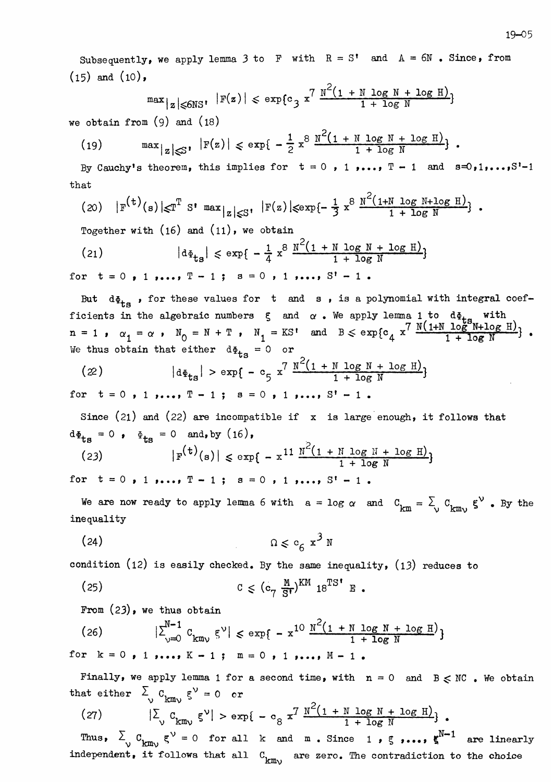Subsequently, we apply lemma 3 to F with  $R = S'$  and  $A = 6N$ . Since, from  $(15)$  and  $(10)$ ,

$$
\max_{|z| \leq 6N} |F(z)| \leq \exp\{c_3 x^7 \frac{N^2(1 + N \log N + \log H)}{1 + \log N}\}
$$

we obtain from  $(9)$  and  $(18)$ 

(19) 
$$
\max_{|z| \leq 3'} |F(z)| \leq \exp\{-\frac{1}{2} x^8 \frac{N^2 (1 + N \log N + \log H)}{1 + \log N}\}.
$$

By Cauchy's theorem, this implies for  $t = 0$ , 1,...,  $T - 1$  and  $s=0,1,\ldots,S<sup>1</sup>-1$ that

$$
(20) \quad |F^{(t)}(s)| \leq T^T \text{ s! max}_{|z| \leq S!} \quad |F(z)| \leq \exp\{-\frac{1}{3} x^8 \frac{N^2(1+N \log N + \log H)}{1 + \log N} \}.
$$

Together with  $(16)$  and  $(11)$ , we obtain

(21) 
$$
|d\Phi_{\text{ts}}| \le \exp\{-\frac{1}{4} x^8 \frac{N^2 (1 + N \log N + \log H)}{1 + \log N}\}
$$

for  $t = 0$ , 1,...,  $T - 1$ ;  $s = 0$ , 1,...,  $S' - 1$ .

But  $d\Phi_{\text{ts}}$ , for these values for t and s, is a polynomial with integral coefficients in the algebraic numbers  $\xi$  and  $\alpha$  . We apply lemma 1 to  $d\Phi_{\text{ts}}$  with  $n = 1$ ,  $\alpha_1 = \alpha$ ,  $N_0 = N + T$ ,  $N_1 = KS'$  and  $B \leq \exp\{\frac{c_4}{x^7}\}$ We thus obtain that either  $d\Phi_{\text{ts}} = 0$  or

$$
(22) \t|d\Phi_{\text{ts}}| > \exp\{-c_{5} x^{7} \frac{N^{2}(1 + N \log N + \log H)}{1 + \log N}\}
$$

for  $t = 0$ , 1,...,  $T - 1$ ;  $s = 0$ , 1,...,  $S' - 1$ .

Since (21) and (22) are incompatible if  $x$  is large enough, it follows that  $d\Phi_{\text{ts}} = 0$ ,  $\Phi_{\text{ts}} = 0$  and, by  $(16)$ ,

(23) 
$$
|F^{(t)}(s)| \le \exp\{-x^{11} \frac{N^2(1 + N \log N + \log H)}{1 + \log N}\}
$$
for  $t = 0, 1, ..., T - 1$ ;  $s = 0, 1, ..., S' - 1$ .

We are now ready to apply lemma 6 with  $a = \log \alpha$  and  $C_{km} = \sum_{v} C_{kmv}$   $\xi^{v}$  . By the  $\frac{1}{2}$  inequality

$$
\Omega \leqslant c_6 x^3 N
$$

condition (12) is easily checked. By the same inequality, (13) reduces to

From  $(23)$ , we thus obtain

(26) 
$$
|\sum_{y=0}^{N-1} C_{kmy} \xi^y| \le \exp\{-x^{10} \frac{N^2(1 + N \log N + \log H)}{1 + \log N}\}
$$
  
for  $k = 0$ , 1, ...,  $K - 1$ ;  $m = 0$ , 1, ...,  $M - 1$ .

Finally, we apply lemma 1 for a second time, with  $n = 0$  and  $B \leq NC$ . We obtain that either  $\sum_{v} c_{kmv} \xi^v = 0$  or

(27) 
$$
|\Sigma_{v} C_{kmv} \xi^{v}| > exp\{-c_{8} x^{7} \frac{N^{2}(1 + N log N + log H)}{1 + log N}\}.
$$

Thus,  $\sum_{v} C_{kmv} g^{v} = 0$  for all k and m. Since 1,  $\zeta$ ,...,  $g^{N-1}$  are linearly independent, it follows that all  $C_{kmv}$  are zero. The contradiction to the choice  $\sum_{n=1}$  are zero. The contradiction to the choice

$$
\mathfrak{m}_\mathcal{V}
$$